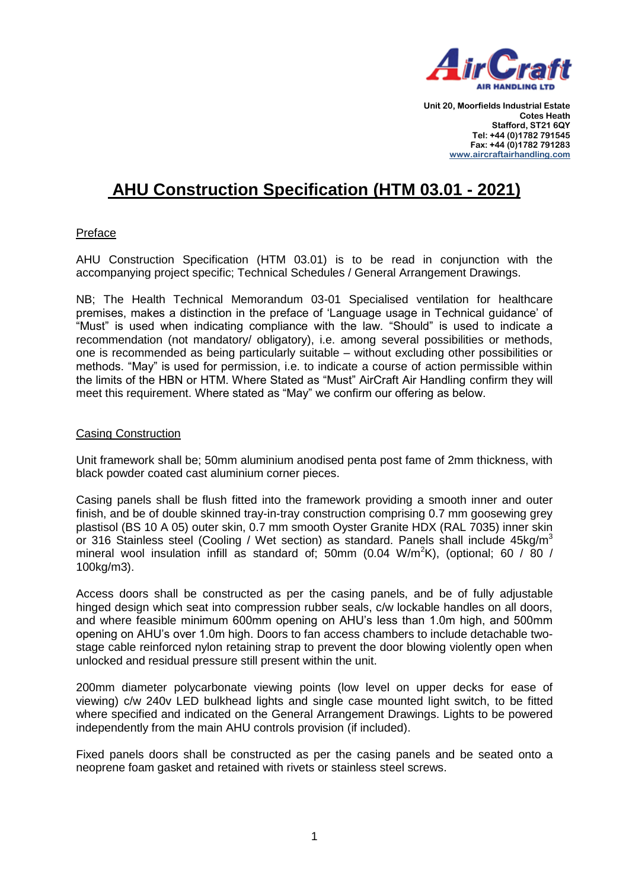

# **AHU Construction Specification (HTM 03.01 - 2021)**

# Preface

AHU Construction Specification (HTM 03.01) is to be read in conjunction with the accompanying project specific; Technical Schedules / General Arrangement Drawings.

NB; The Health Technical Memorandum 03-01 Specialised ventilation for healthcare premises, makes a distinction in the preface of 'Language usage in Technical guidance' of "Must" is used when indicating compliance with the law. "Should" is used to indicate a recommendation (not mandatory/ obligatory), i.e. among several possibilities or methods, one is recommended as being particularly suitable – without excluding other possibilities or methods. "May" is used for permission, i.e. to indicate a course of action permissible within the limits of the HBN or HTM. Where Stated as "Must" AirCraft Air Handling confirm they will meet this requirement. Where stated as "May" we confirm our offering as below.

# Casing Construction

Unit framework shall be; 50mm aluminium anodised penta post fame of 2mm thickness, with black powder coated cast aluminium corner pieces.

Casing panels shall be flush fitted into the framework providing a smooth inner and outer finish, and be of double skinned tray-in-tray construction comprising 0.7 mm goosewing grey plastisol (BS 10 A 05) outer skin, 0.7 mm smooth Oyster Granite HDX (RAL 7035) inner skin or 316 Stainless steel (Cooling / Wet section) as standard. Panels shall include 45kg/m<sup>3</sup> mineral wool insulation infill as standard of; 50mm (0.04 W/m<sup>2</sup>K), (optional; 60 / 80 / 100kg/m3).

Access doors shall be constructed as per the casing panels, and be of fully adjustable hinged design which seat into compression rubber seals, c/w lockable handles on all doors, and where feasible minimum 600mm opening on AHU's less than 1.0m high, and 500mm opening on AHU's over 1.0m high. Doors to fan access chambers to include detachable twostage cable reinforced nylon retaining strap to prevent the door blowing violently open when unlocked and residual pressure still present within the unit.

200mm diameter polycarbonate viewing points (low level on upper decks for ease of viewing) c/w 240v LED bulkhead lights and single case mounted light switch, to be fitted where specified and indicated on the General Arrangement Drawings. Lights to be powered independently from the main AHU controls provision (if included).

Fixed panels doors shall be constructed as per the casing panels and be seated onto a neoprene foam gasket and retained with rivets or stainless steel screws.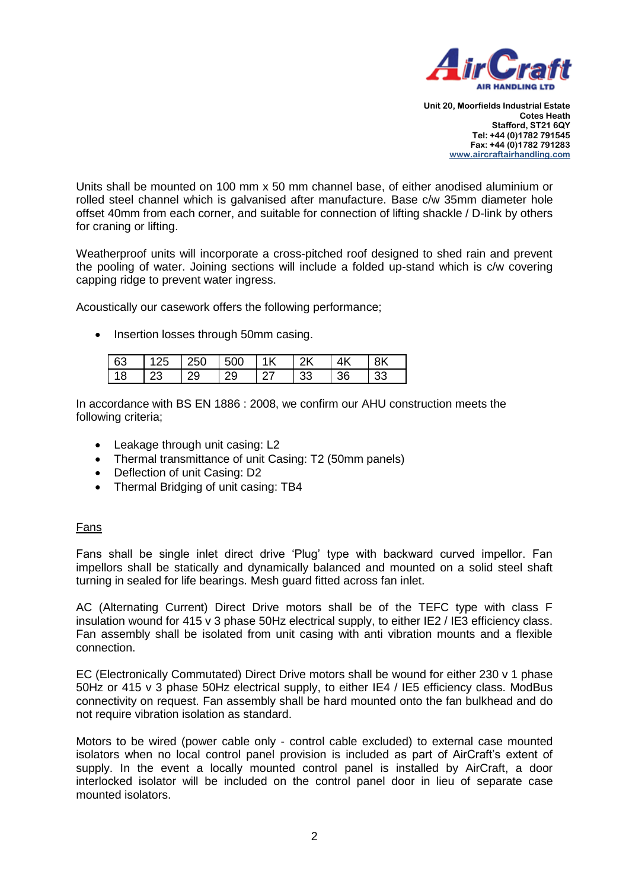

Units shall be mounted on 100 mm x 50 mm channel base, of either anodised aluminium or rolled steel channel which is galvanised after manufacture. Base c/w 35mm diameter hole offset 40mm from each corner, and suitable for connection of lifting shackle / D-link by others for craning or lifting.

Weatherproof units will incorporate a cross-pitched roof designed to shed rain and prevent the pooling of water. Joining sections will include a folded up-stand which is c/w covering capping ridge to prevent water ingress.

Acoustically our casework offers the following performance;

• Insertion losses through 50mm casing.

| 63 | -125 | 250   500 |    | 1 <sub>K</sub> | $\overline{\phantom{1}}$ 2K | 4 <sup>K</sup> | 8K |
|----|------|-----------|----|----------------|-----------------------------|----------------|----|
|    | ∸⊾'  | 29        | 20 |                | 33                          | 36             | 33 |

In accordance with BS EN 1886 : 2008, we confirm our AHU construction meets the following criteria;

- Leakage through unit casing: L2
- Thermal transmittance of unit Casing: T2 (50mm panels)
- Deflection of unit Casing: D2
- Thermal Bridging of unit casing: TB4

# Fans

Fans shall be single inlet direct drive 'Plug' type with backward curved impellor. Fan impellors shall be statically and dynamically balanced and mounted on a solid steel shaft turning in sealed for life bearings. Mesh guard fitted across fan inlet.

AC (Alternating Current) Direct Drive motors shall be of the TEFC type with class F insulation wound for 415 v 3 phase 50Hz electrical supply, to either IE2 / IE3 efficiency class. Fan assembly shall be isolated from unit casing with anti vibration mounts and a flexible connection.

EC (Electronically Commutated) Direct Drive motors shall be wound for either 230 v 1 phase 50Hz or 415 v 3 phase 50Hz electrical supply, to either IE4 / IE5 efficiency class. ModBus connectivity on request. Fan assembly shall be hard mounted onto the fan bulkhead and do not require vibration isolation as standard.

Motors to be wired (power cable only - control cable excluded) to external case mounted isolators when no local control panel provision is included as part of AirCraft's extent of supply. In the event a locally mounted control panel is installed by AirCraft, a door interlocked isolator will be included on the control panel door in lieu of separate case mounted isolators.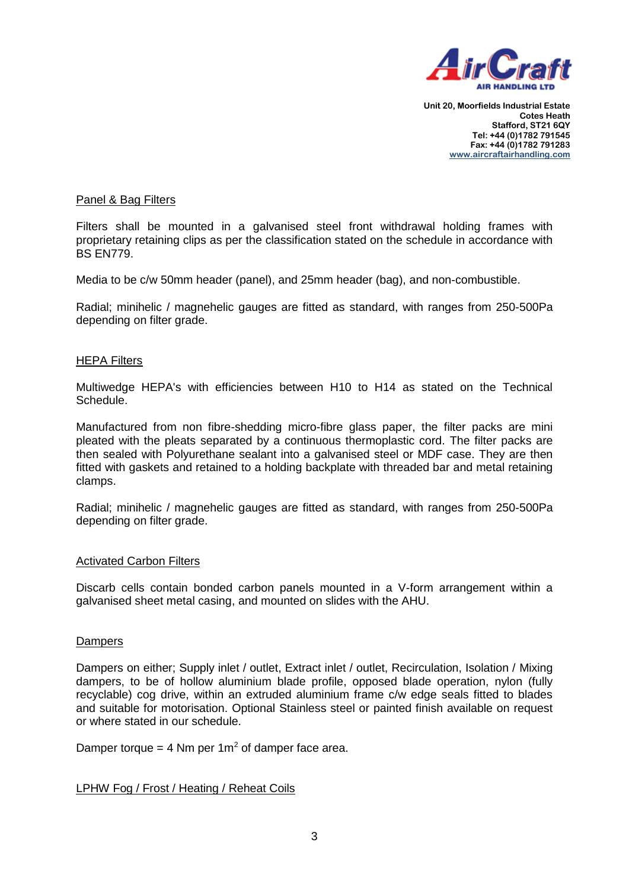

# Panel & Bag Filters

Filters shall be mounted in a galvanised steel front withdrawal holding frames with proprietary retaining clips as per the classification stated on the schedule in accordance with BS EN779.

Media to be c/w 50mm header (panel), and 25mm header (bag), and non-combustible.

Radial; minihelic / magnehelic gauges are fitted as standard, with ranges from 250-500Pa depending on filter grade.

#### HEPA Filters

Multiwedge HEPA's with efficiencies between H10 to H14 as stated on the Technical Schedule.

Manufactured from non fibre-shedding micro-fibre glass paper, the filter packs are mini pleated with the pleats separated by a continuous thermoplastic cord. The filter packs are then sealed with Polyurethane sealant into a galvanised steel or MDF case. They are then fitted with gaskets and retained to a holding backplate with threaded bar and metal retaining clamps.

Radial; minihelic / magnehelic gauges are fitted as standard, with ranges from 250-500Pa depending on filter grade.

#### Activated Carbon Filters

Discarb cells contain bonded carbon panels mounted in a V-form arrangement within a galvanised sheet metal casing, and mounted on slides with the AHU.

#### Dampers

Dampers on either; Supply inlet / outlet, Extract inlet / outlet, Recirculation, Isolation / Mixing dampers, to be of hollow aluminium blade profile, opposed blade operation, nylon (fully recyclable) cog drive, within an extruded aluminium frame c/w edge seals fitted to blades and suitable for motorisation. Optional Stainless steel or painted finish available on request or where stated in our schedule.

Damper torque = 4 Nm per  $1m^2$  of damper face area.

# LPHW Fog / Frost / Heating / Reheat Coils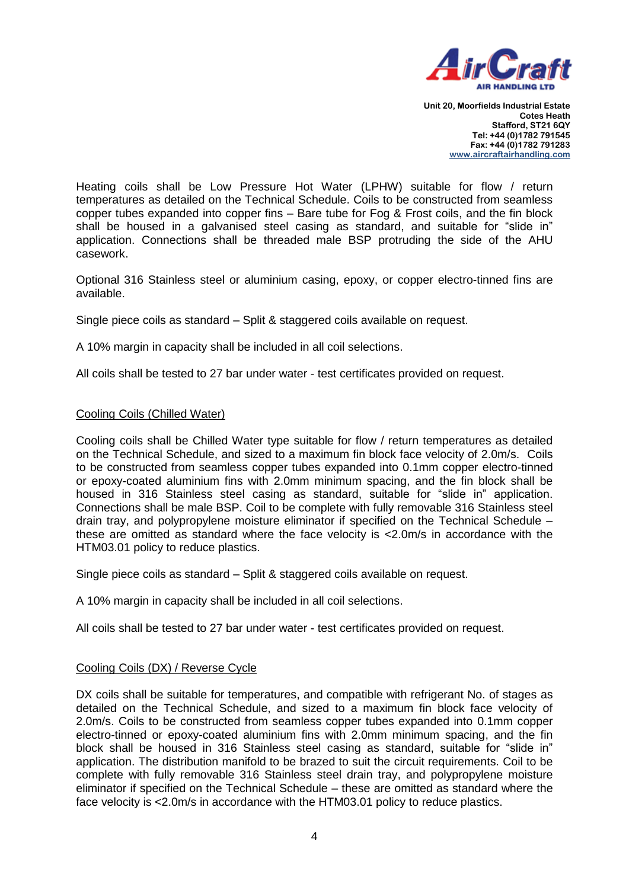

Heating coils shall be Low Pressure Hot Water (LPHW) suitable for flow / return temperatures as detailed on the Technical Schedule. Coils to be constructed from seamless copper tubes expanded into copper fins – Bare tube for Fog & Frost coils, and the fin block shall be housed in a galvanised steel casing as standard, and suitable for "slide in" application. Connections shall be threaded male BSP protruding the side of the AHU casework.

Optional 316 Stainless steel or aluminium casing, epoxy, or copper electro-tinned fins are available.

Single piece coils as standard – Split & staggered coils available on request.

A 10% margin in capacity shall be included in all coil selections.

All coils shall be tested to 27 bar under water - test certificates provided on request.

#### Cooling Coils (Chilled Water)

Cooling coils shall be Chilled Water type suitable for flow / return temperatures as detailed on the Technical Schedule, and sized to a maximum fin block face velocity of 2.0m/s. Coils to be constructed from seamless copper tubes expanded into 0.1mm copper electro-tinned or epoxy-coated aluminium fins with 2.0mm minimum spacing, and the fin block shall be housed in 316 Stainless steel casing as standard, suitable for "slide in" application. Connections shall be male BSP. Coil to be complete with fully removable 316 Stainless steel drain tray, and polypropylene moisture eliminator if specified on the Technical Schedule – these are omitted as standard where the face velocity is <2.0m/s in accordance with the HTM03.01 policy to reduce plastics.

Single piece coils as standard – Split & staggered coils available on request.

A 10% margin in capacity shall be included in all coil selections.

All coils shall be tested to 27 bar under water - test certificates provided on request.

# Cooling Coils (DX) / Reverse Cycle

DX coils shall be suitable for temperatures, and compatible with refrigerant No. of stages as detailed on the Technical Schedule, and sized to a maximum fin block face velocity of 2.0m/s. Coils to be constructed from seamless copper tubes expanded into 0.1mm copper electro-tinned or epoxy-coated aluminium fins with 2.0mm minimum spacing, and the fin block shall be housed in 316 Stainless steel casing as standard, suitable for "slide in" application. The distribution manifold to be brazed to suit the circuit requirements. Coil to be complete with fully removable 316 Stainless steel drain tray, and polypropylene moisture eliminator if specified on the Technical Schedule – these are omitted as standard where the face velocity is <2.0m/s in accordance with the HTM03.01 policy to reduce plastics.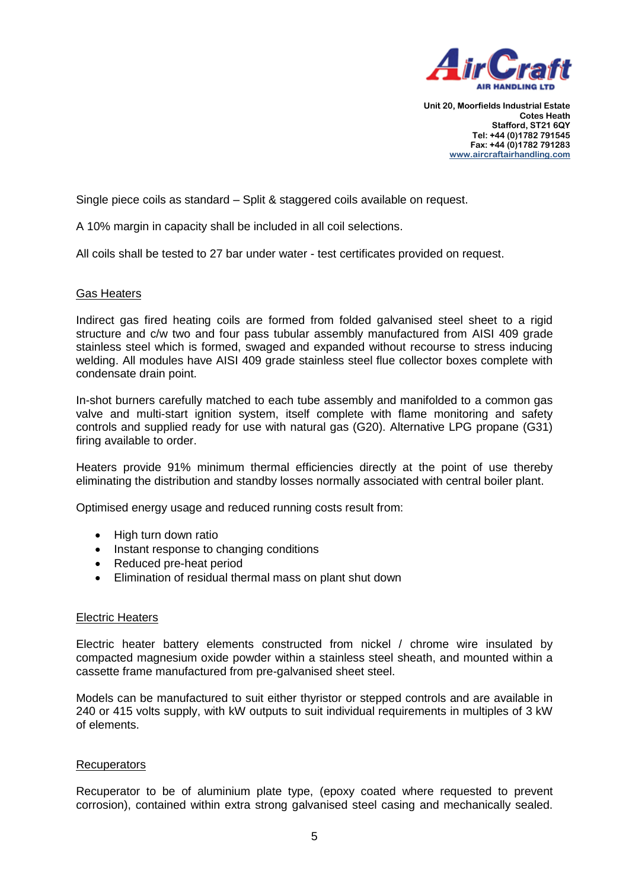

Single piece coils as standard – Split & staggered coils available on request.

A 10% margin in capacity shall be included in all coil selections.

All coils shall be tested to 27 bar under water - test certificates provided on request.

#### Gas Heaters

Indirect gas fired heating coils are formed from folded galvanised steel sheet to a rigid structure and c/w two and four pass tubular assembly manufactured from AISI 409 grade stainless steel which is formed, swaged and expanded without recourse to stress inducing welding. All modules have AISI 409 grade stainless steel flue collector boxes complete with condensate drain point.

In-shot burners carefully matched to each tube assembly and manifolded to a common gas valve and multi-start ignition system, itself complete with flame monitoring and safety controls and supplied ready for use with natural gas (G20). Alternative LPG propane (G31) firing available to order.

Heaters provide 91% minimum thermal efficiencies directly at the point of use thereby eliminating the distribution and standby losses normally associated with central boiler plant.

Optimised energy usage and reduced running costs result from:

- High turn down ratio
- Instant response to changing conditions
- Reduced pre-heat period
- Elimination of residual thermal mass on plant shut down

#### Electric Heaters

Electric heater battery elements constructed from nickel / chrome wire insulated by compacted magnesium oxide powder within a stainless steel sheath, and mounted within a cassette frame manufactured from pre-galvanised sheet steel.

Models can be manufactured to suit either thyristor or stepped controls and are available in 240 or 415 volts supply, with kW outputs to suit individual requirements in multiples of 3 kW of elements.

#### Recuperators

Recuperator to be of aluminium plate type, (epoxy coated where requested to prevent corrosion), contained within extra strong galvanised steel casing and mechanically sealed.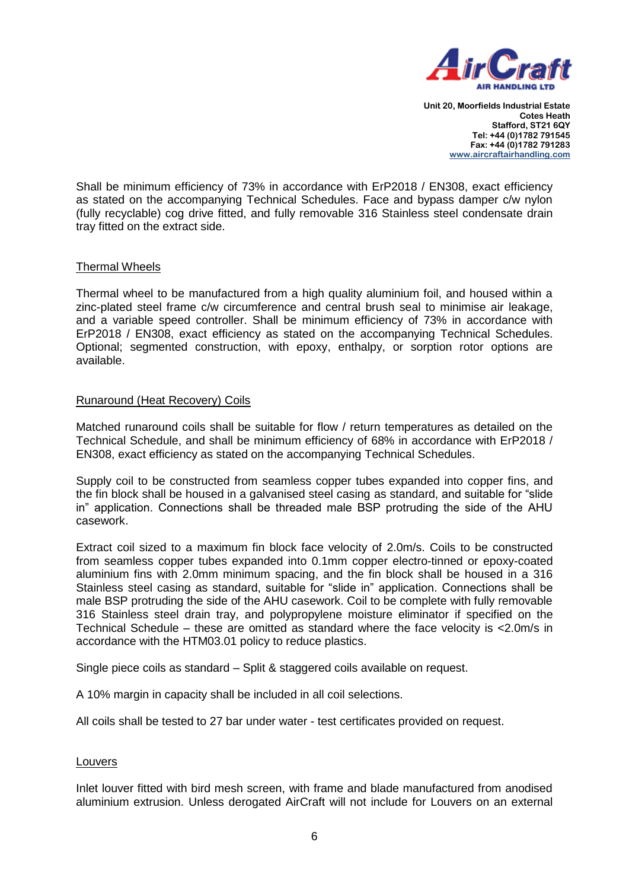

Shall be minimum efficiency of 73% in accordance with ErP2018 / EN308, exact efficiency as stated on the accompanying Technical Schedules. Face and bypass damper c/w nylon (fully recyclable) cog drive fitted, and fully removable 316 Stainless steel condensate drain tray fitted on the extract side.

# Thermal Wheels

Thermal wheel to be manufactured from a high quality aluminium foil, and housed within a zinc-plated steel frame c/w circumference and central brush seal to minimise air leakage, and a variable speed controller. Shall be minimum efficiency of 73% in accordance with ErP2018 / EN308, exact efficiency as stated on the accompanying Technical Schedules. Optional; segmented construction, with epoxy, enthalpy, or sorption rotor options are available.

#### Runaround (Heat Recovery) Coils

Matched runaround coils shall be suitable for flow / return temperatures as detailed on the Technical Schedule, and shall be minimum efficiency of 68% in accordance with ErP2018 / EN308, exact efficiency as stated on the accompanying Technical Schedules.

Supply coil to be constructed from seamless copper tubes expanded into copper fins, and the fin block shall be housed in a galvanised steel casing as standard, and suitable for "slide in" application. Connections shall be threaded male BSP protruding the side of the AHU casework.

Extract coil sized to a maximum fin block face velocity of 2.0m/s. Coils to be constructed from seamless copper tubes expanded into 0.1mm copper electro-tinned or epoxy-coated aluminium fins with 2.0mm minimum spacing, and the fin block shall be housed in a 316 Stainless steel casing as standard, suitable for "slide in" application. Connections shall be male BSP protruding the side of the AHU casework. Coil to be complete with fully removable 316 Stainless steel drain tray, and polypropylene moisture eliminator if specified on the Technical Schedule – these are omitted as standard where the face velocity is <2.0m/s in accordance with the HTM03.01 policy to reduce plastics.

Single piece coils as standard – Split & staggered coils available on request.

A 10% margin in capacity shall be included in all coil selections.

All coils shall be tested to 27 bar under water - test certificates provided on request.

#### Louvers

Inlet louver fitted with bird mesh screen, with frame and blade manufactured from anodised aluminium extrusion. Unless derogated AirCraft will not include for Louvers on an external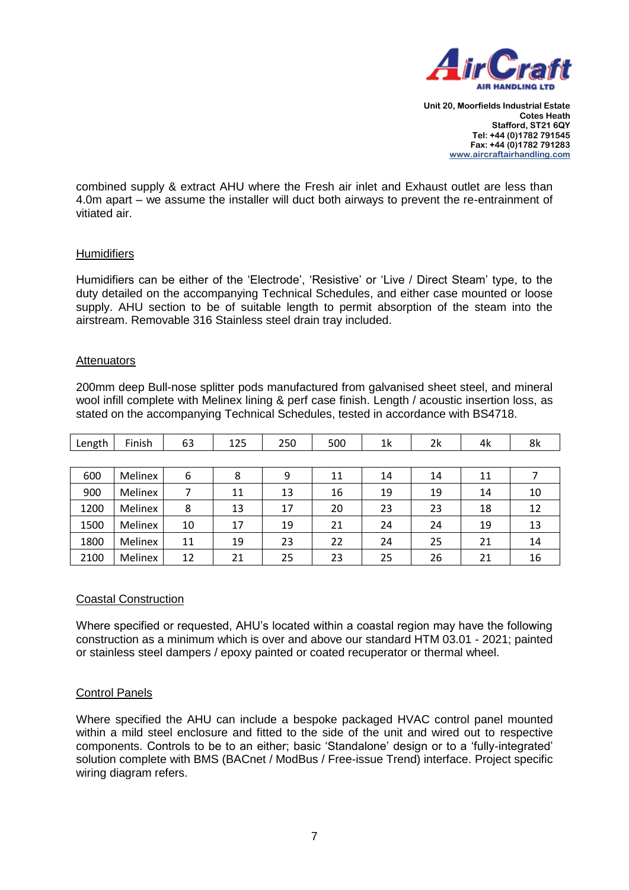

combined supply & extract AHU where the Fresh air inlet and Exhaust outlet are less than 4.0m apart – we assume the installer will duct both airways to prevent the re-entrainment of vitiated air.

# **Humidifiers**

Humidifiers can be either of the 'Electrode', 'Resistive' or 'Live / Direct Steam' type, to the duty detailed on the accompanying Technical Schedules, and either case mounted or loose supply. AHU section to be of suitable length to permit absorption of the steam into the airstream. Removable 316 Stainless steel drain tray included.

#### **Attenuators**

200mm deep Bull-nose splitter pods manufactured from galvanised sheet steel, and mineral wool infill complete with Melinex lining & perf case finish. Length / acoustic insertion loss, as stated on the accompanying Technical Schedules, tested in accordance with BS4718.

| Length | Finish  | 63 | 125 | 250 | 500 | 1 <sup>k</sup> | 2k | 4k | 8k |
|--------|---------|----|-----|-----|-----|----------------|----|----|----|
|        |         |    |     |     |     |                |    |    |    |
| 600    | Melinex | 6  | 8   | 9   | 11  | 14             | 14 | 11 |    |
| 900    | Melinex | 7  | 11  | 13  | 16  | 19             | 19 | 14 | 10 |
| 1200   | Melinex | 8  | 13  | 17  | 20  | 23             | 23 | 18 | 12 |
| 1500   | Melinex | 10 | 17  | 19  | 21  | 24             | 24 | 19 | 13 |
| 1800   | Melinex | 11 | 19  | 23  | 22  | 24             | 25 | 21 | 14 |
| 2100   | Melinex | 12 | 21  | 25  | 23  | 25             | 26 | 21 | 16 |

# Coastal Construction

Where specified or requested, AHU's located within a coastal region may have the following construction as a minimum which is over and above our standard HTM 03.01 - 2021; painted or stainless steel dampers / epoxy painted or coated recuperator or thermal wheel.

# Control Panels

Where specified the AHU can include a bespoke packaged HVAC control panel mounted within a mild steel enclosure and fitted to the side of the unit and wired out to respective components. Controls to be to an either; basic 'Standalone' design or to a 'fully-integrated' solution complete with BMS (BACnet / ModBus / Free-issue Trend) interface. Project specific wiring diagram refers.